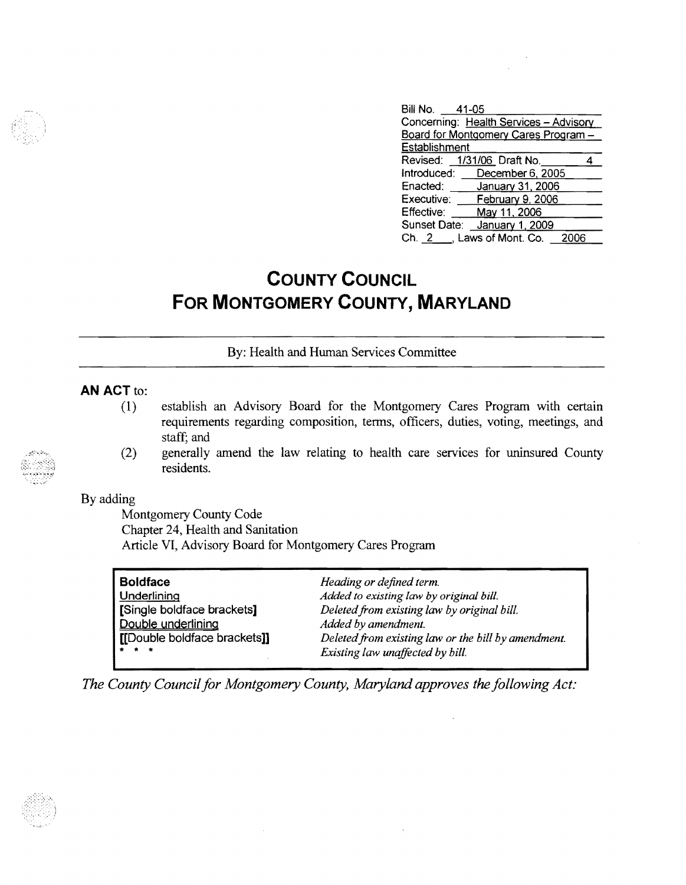| Bill No. 41-05                         |  |                  |      |  |
|----------------------------------------|--|------------------|------|--|
| Concerning: Health Services - Advisory |  |                  |      |  |
| Board for Montgomery Cares Program -   |  |                  |      |  |
| Establishment                          |  |                  |      |  |
| Revised: 1/31/06 Draft No.             |  |                  |      |  |
| Introduced: December 6, 2005           |  |                  |      |  |
| Enacted:                               |  | January 31, 2006 |      |  |
| Executive: February 9, 2006            |  |                  |      |  |
| Effective:                             |  | May 11, 2006     |      |  |
| Sunset Date: January 1, 2009           |  |                  |      |  |
| Ch. $2 \quad$ , Laws of Mont. Co.      |  |                  | 2006 |  |

## **COUNTY COUNCIL FOR MONTGOMERY COUNTY, MARYLAND**

## By: Health and Human Services Committee

## **AN ACT to:**

- (1) establish an Advisory Board for the Montgomery Cares Program with certain requirements regarding composition, tenns, officers, duties, voting, meetings, and staff; and
- (2) generally amend the law relating to health care services for uninsured County residents.

## By adding

Montgomery County Code Chapter 24, Health and Sanitation Article VI, Advisory Board for Montgomery Cares Program

| Boldface                     | Heading or defined term.                            |
|------------------------------|-----------------------------------------------------|
| Underlining                  | Added to existing law by original bill.             |
| [Single boldface brackets]   | Deleted from existing law by original bill.         |
| Double underlining           | Added by amendment.                                 |
| [[Double boldface brackets]] | Deleted from existing law or the bill by amendment. |
| 1* * *                       | Existing law unaffected by bill.                    |

*The County Council for Montgomery County, Maryland approves the following Act:* 



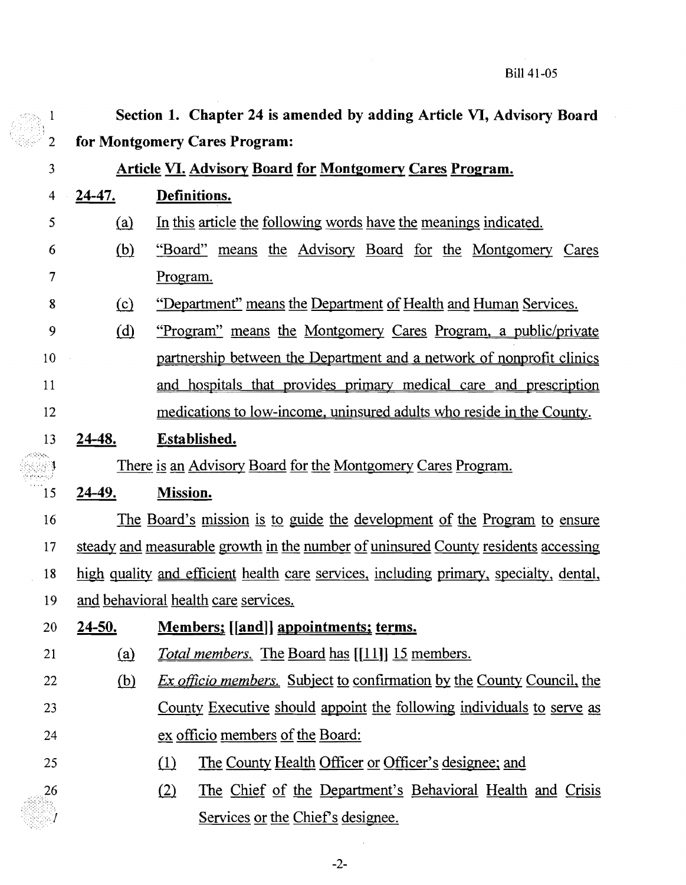$\bar{\beta}$ 

| 1              |                                      | Section 1. Chapter 24 is amended by adding Article VI, Advisory Board                  |  |  |
|----------------|--------------------------------------|----------------------------------------------------------------------------------------|--|--|
| $\overline{c}$ |                                      | for Montgomery Cares Program:                                                          |  |  |
| 3              |                                      | <b>Article VI. Advisory Board for Montgomery Cares Program.</b>                        |  |  |
| $\overline{4}$ | <u>24-47.</u>                        | Definitions.                                                                           |  |  |
| 5              | (a)                                  | In this article the following words have the meanings indicated.                       |  |  |
| 6              | <u>(b)</u>                           | "Board" means the Advisory Board for the Montgomery Cares                              |  |  |
| 7              |                                      | Program.                                                                               |  |  |
| 8              | $\Omega$                             | "Department" means the Department of Health and Human Services.                        |  |  |
| 9              | (d)                                  | "Program" means the Montgomery Cares Program, a public/private                         |  |  |
| 10             |                                      | partnership between the Department and a network of nonprofit clinics                  |  |  |
| 11             |                                      | and hospitals that provides primary medical care and prescription                      |  |  |
| 12             |                                      | medications to low-income, uninsured adults who reside in the County.                  |  |  |
| 13             | <u>24-48.</u>                        | <b>Established.</b>                                                                    |  |  |
|                |                                      | <u>There is an Advisory Board for the Montgomery Cares Program.</u>                    |  |  |
| 15             | <u>24–49.</u>                        | <b>Mission.</b>                                                                        |  |  |
| 16             |                                      | The Board's mission is to guide the development of the Program to ensure               |  |  |
| 17             |                                      | steady and measurable growth in the number of uninsured County residents accessing     |  |  |
| 18             |                                      | high quality and efficient health care services, including primary, specialty, dental, |  |  |
| 19             | and behavioral health care services. |                                                                                        |  |  |
| 20             | <u>24-50.</u>                        | <b>Members:</b> [[and]] appointments; terms.                                           |  |  |
| 21             | (a)                                  | <u>Total members. The Board has [[11]] 15 members.</u>                                 |  |  |
| 22             | <u>(b)</u>                           | <i>Ex officio members.</i> Subject to confirmation by the County Council, the          |  |  |
| 23             |                                      | County Executive should appoint the following individuals to serve as                  |  |  |
| 24             |                                      | ex officio members of the Board:                                                       |  |  |
| 25             |                                      | The County Health Officer or Officer's designee; and<br>$\Omega$                       |  |  |
| 26             |                                      | (2)<br>The Chief of the Department's Behavioral Health and Crisis                      |  |  |
|                |                                      | Services or the Chief's designee.                                                      |  |  |

 $\mathcal{L}^{\text{max}}_{\text{max}}$ 

**ARC** 

 $\bar{\beta}$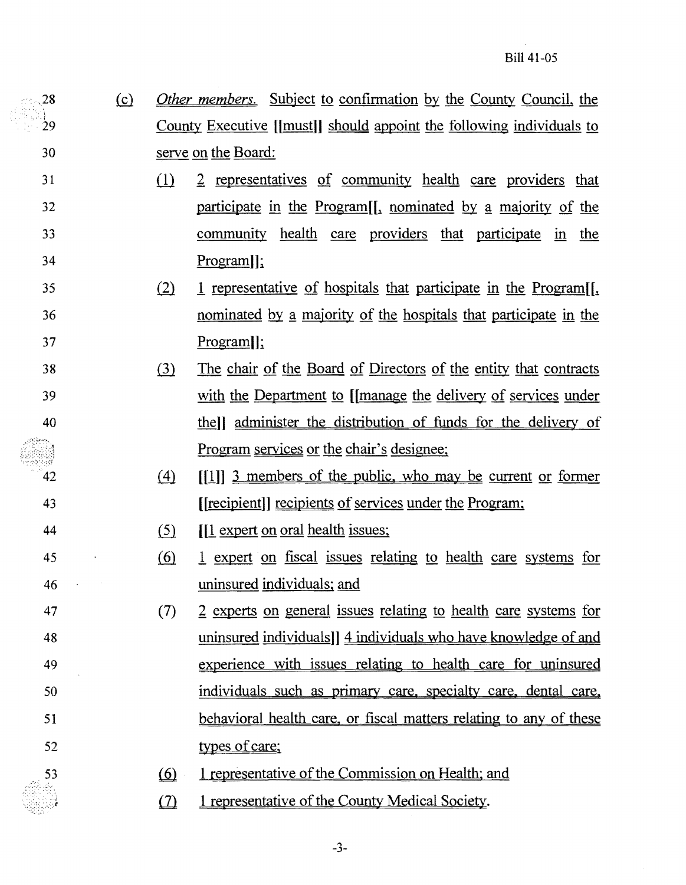- .,28 (f2 *Other members.* Subject to confinnation Qy the County Council, the 29 County Executive [[must]] should appoint the following individuals to 30 serve on the Board:
- 31 (1) 2 representatives of community health care providers that 32 **participate in the Program**<sup>[[</sup>, nominated by a majority of the 33 community health care providers that participate in the 34 Program)];
- 35 1 representative of hospitals that participate in the Program $[[, \cdot]]$ 36 **nominated by a majority of the hospitals that participate in the** 37 Program]];
- 38 (3) The chair of the Board of Directors of the entity that contracts 39 with the Department to [[manage the delivery of services under 40 the)] administer the distribution of funds for the delivery of Program services or the chair's designee;
- (4)  $\llbracket \begin{array}{c} 1 \end{array} \rrbracket$  3 members of the public, who may be current or former 43 [[recipient]] recipients of services under the Program;
- 44 (5)  $\llbracket 1 \text{ expert on oral health issues};$

42

 $\mathbb{R}$  ).

- <sup>45</sup>® 1 expert on fiscal issues relating to health care systems for 46 uninsured individuals; and
- 47 (7) ~ experts on general issues relating to health care systems for 48 uninsured individuals]) 4 individuals who have knowledge of and 49 experience with issues relating to health care for uninsured 50 individuals such as primary care, specialty care, dental care. 51 behavioral health care. or fiscal matters relating to any of these 52 types of care;
- 53 (6) 1 representative of the Commission on Health; and
	- $(7)$  1 representative of the County Medical Society.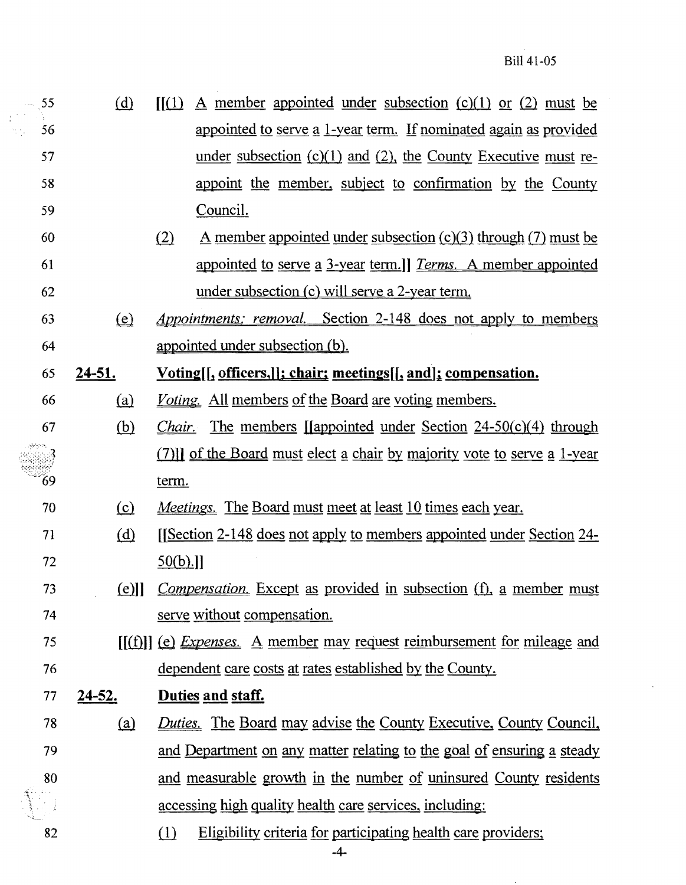| $-55$ | (d)                 | A member appointed under subsection $(c)(1)$ or $(2)$ must be<br>$\mathbf{H}(1)$    |
|-------|---------------------|-------------------------------------------------------------------------------------|
| 56    |                     | appointed to serve a 1-year term. If nominated again as provided                    |
| 57    |                     | under subsection $(c)(1)$ and $(2)$ , the County Executive must re-                 |
| 58    |                     | appoint the member, subject to confirmation by the County                           |
| 59    |                     | Council.                                                                            |
| 60    |                     | $\underline{A}$ member appointed under subsection (c)(3) through (7) must be<br>(2) |
| 61    |                     | appointed to serve a 3-year term.]] <i>Terms.</i> A member appointed                |
| 62    |                     | under subsection (c) will serve a 2-year term.                                      |
| 63    | $\Omega$            | Appointments; removal. Section 2-148 does not apply to members                      |
| 64    |                     | appointed under subsection (b).                                                     |
| 65    | <u>24-51.</u>       | Voting [[, officers,   ; chair; meetings [[, and]; compensation.                    |
| 66    | (a)                 | <i><u>Voting. All members of the Board are voting members.</u></i>                  |
| 67    | <u>(b)</u>          | <i>Chair.</i> The members <i>[[appointed under Section 24-50(c)(4)</i> through      |
|       |                     | (7) of the Board must elect a chair by majority vote to serve a 1-year              |
| 69    |                     | term.                                                                               |
| 70    | $\Omega$            | <i>Meetings.</i> The Board must meet at least 10 times each year.                   |
| 71    | (d)                 | <u>Section 2-148 does not apply to members appointed under Section 24-</u>          |
| 72    |                     | 50(b).                                                                              |
| 73    | $\lfloor e \rfloor$ | <i>Compensation.</i> Except as provided in subsection (f), a member must            |
| 74    |                     | serve without compensation.                                                         |
| 75    |                     | $[f(f)]$ (e) <i>Expenses.</i> A member may request reimbursement for mileage and    |
| 76    |                     | <u>dependent care costs at rates established by the County.</u>                     |
| 77    | <u>24-52.</u>       | Duties and staff.                                                                   |
| 78    | (a)                 | <b>Duties.</b> The Board may advise the County Executive, County Council,           |
| 79    |                     | and Department on any matter relating to the goal of ensuring a steady              |
| 80    |                     | and measurable growth in the number of uninsured County residents                   |
|       |                     | accessing high quality health care services, including:                             |
| 82    |                     | Eligibility criteria for participating health care providers;<br>(1)                |

 $\frac{f}{4}$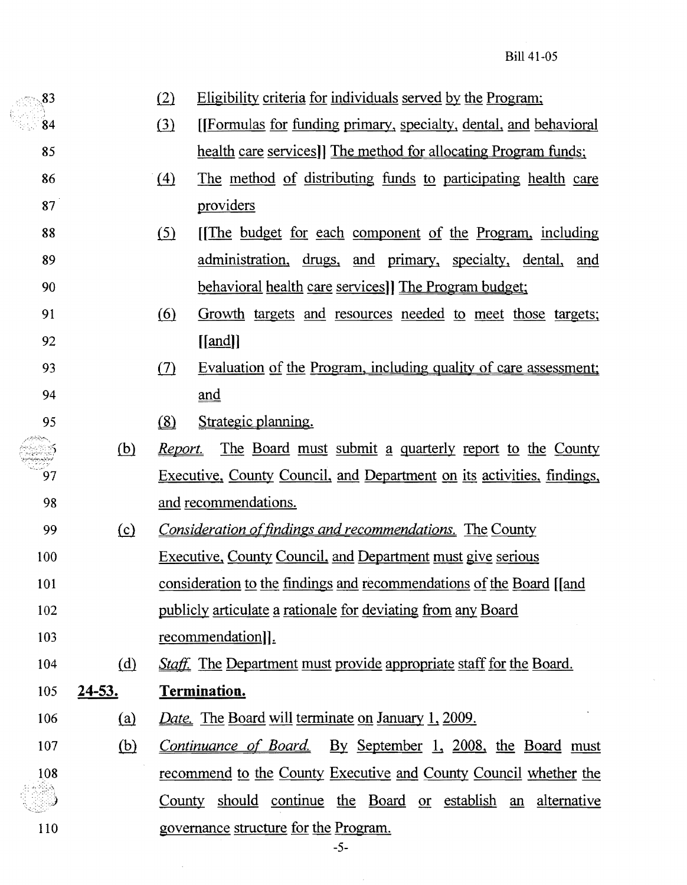$\bar{\zeta}$ 

| 83               |               | (2)                            | Eligibility criteria for individuals served by the Program;                    |
|------------------|---------------|--------------------------------|--------------------------------------------------------------------------------|
| 84               |               | $\left( \underline{3} \right)$ | [[Formulas for funding primary, specialty, dental, and behavioral              |
| 85               |               |                                | health care services]] The method for allocating Program funds;                |
| 86               |               | (4)                            | The method of distributing funds to participating health care                  |
| 87               |               |                                | providers                                                                      |
| 88               |               | (5)                            | [The budget for each component of the Program, including                       |
| 89               |               |                                | administration, drugs, and primary, specialty, dental, and                     |
| 90               |               |                                | <u>behavioral health care services</u> [1] The Program budget;                 |
| 91               |               | $\left(6\right)$               | Growth targets and resources needed to meet those targets;                     |
| 92               |               |                                | $\left[ \left[ \underline{\text{and}} \right] \right]$                         |
| 93               |               | (7)                            | Evaluation of the Program, including quality of care assessment;               |
| 94               |               |                                | and                                                                            |
| 95               |               | (8)                            | Strategic planning.                                                            |
| sering<br>Termit | (b)           | Report.                        | The Board must submit a quarterly report to the County                         |
| 97               |               |                                | <u>Executive, County Council, and Department on its activities, findings, </u> |
| 98               |               |                                | and recommendations.                                                           |
| 99               | $\Omega$      |                                | Consideration of findings and recommendations. The County                      |
| 100              |               |                                | <b>Executive, County Council, and Department must give serious</b>             |
| 101              |               |                                | consideration to the findings and recommendations of the Board [[and           |
| 102              |               |                                | <u>publicly articulate a rationale for deviating from any Board</u>            |
| 103              |               |                                | <u>recommendation</u> ].                                                       |
| 104              | (d)           |                                | <i>Staff.</i> The Department must provide appropriate staff for the Board.     |
| 105              | <u>24-53.</u> |                                | Termination.                                                                   |
| 106              | <u>(a)</u>    |                                | <u>Date.</u> The Board will terminate on January 1, 2009.                      |
| 107              | <u>(b)</u>    |                                | Continuance of Board. By September 1, 2008, the Board must                     |
| 108              |               |                                | recommend to the County Executive and County Council whether the               |
|                  |               |                                | County should continue the Board or establish an alternative                   |
| 110              |               |                                | governance structure for the Program.                                          |

 $\hat{\mathcal{A}}$